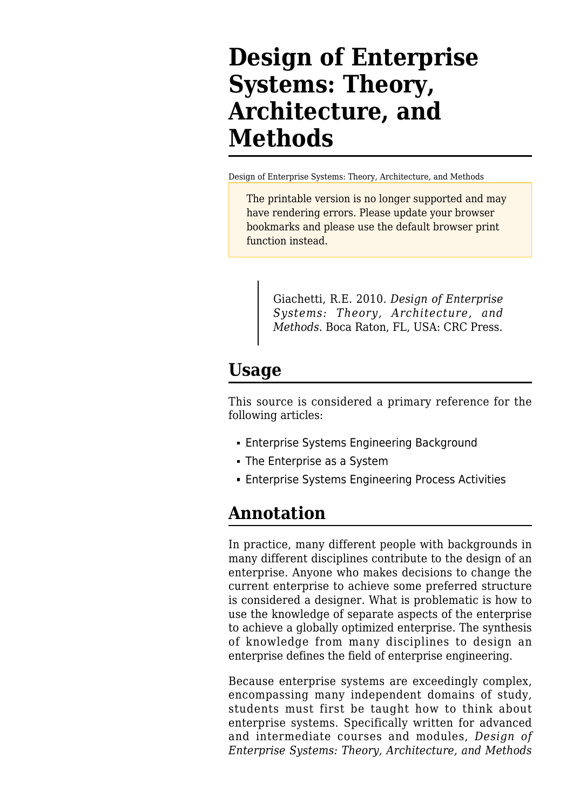## **Design of Enterprise Systems: Theory, Architecture, and Methods**

[Design of Enterprise Systems: Theory, Architecture, and Methods](http://sebokwiki.org/wiki/Design_of_Enterprise_Systems:_Theory,_Architecture,_and_Methods)

The printable version is no longer supported and may have rendering errors. Please update your browser bookmarks and please use the default browser print function instead.

Giachetti, R.E. 2010. *Design of Enterprise Systems: Theory, Architecture, and Methods*. Boca Raton, FL, USA: CRC Press.

## **Usage**

This source is considered a primary reference for the following articles:

- [Enterprise Systems Engineering Background](http://sebokwiki.org/wiki/Enterprise_Systems_Engineering_Background)
- [The Enterprise as a System](http://sebokwiki.org/wiki/The_Enterprise_as_a_System)
- **[Enterprise Systems Engineering Process Activities](http://sebokwiki.org/wiki/Enterprise_Systems_Engineering_Process_Activities)**

## **Annotation**

In practice, many different people with backgrounds in many different disciplines contribute to the design of an enterprise. Anyone who makes decisions to change the current enterprise to achieve some preferred structure is considered a designer. What is problematic is how to use the knowledge of separate aspects of the enterprise to achieve a globally optimized enterprise. The synthesis of knowledge from many disciplines to design an enterprise defines the field of enterprise engineering.

Because enterprise systems are exceedingly complex, encompassing many independent domains of study, students must first be taught how to think about enterprise systems. Specifically written for advanced and intermediate courses and modules, *Design of Enterprise Systems: Theory, Architecture, and Methods*